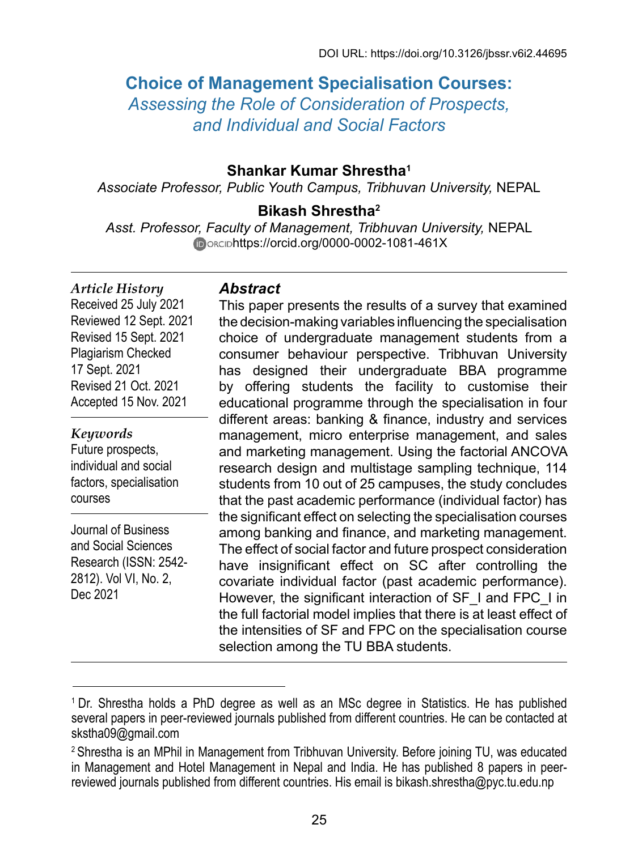# **Choice of Management Specialisation Courses:**  *Assessing the Role of Consideration of Prospects, and Individual and Social Factors*

#### **Shankar Kumar Shrestha1**

*Associate Professor, Public Youth Campus, Tribhuvan University,* NEPAL

#### **Bikash Shrestha2**

*Asst. Professor, Faculty of Management, Tribhuvan University,* NEPAL **DORCIDhttps://orcid.org/0000-0002-1081-461X** 

#### *Article History*

Received 25 July 2021 Reviewed 12 Sept. 2021 Revised 15 Sept. 2021 Plagiarism Checked 17 Sept. 2021 Revised 21 Oct. 2021 Accepted 15 Nov. 2021

*Keywords* Future prospects, individual and social factors, specialisation courses

Journal of Business and Social Sciences Research (ISSN: 2542- 2812). Vol VI, No. 2, Dec 2021

#### *Abstract*

This paper presents the results of a survey that examined the decision-making variables influencing the specialisation choice of undergraduate management students from a consumer behaviour perspective. Tribhuvan University has designed their undergraduate BBA programme by offering students the facility to customise their educational programme through the specialisation in four different areas: banking & finance, industry and services management, micro enterprise management, and sales and marketing management. Using the factorial ANCOVA research design and multistage sampling technique, 114 students from 10 out of 25 campuses, the study concludes that the past academic performance (individual factor) has the significant effect on selecting the specialisation courses among banking and finance, and marketing management. The effect of social factor and future prospect consideration have insignificant effect on SC after controlling the covariate individual factor (past academic performance). However, the significant interaction of SF\_I and FPC\_I in the full factorial model implies that there is at least effect of the intensities of SF and FPC on the specialisation course selection among the TU BBA students.

<sup>1</sup> Dr. Shrestha holds a PhD degree as well as an MSc degree in Statistics. He has published several papers in peer-reviewed journals published from different countries. He can be contacted at skstha09@gmail.com

<sup>2</sup> Shrestha is an MPhil in Management from Tribhuvan University. Before joining TU, was educated in Management and Hotel Management in Nepal and India. He has published 8 papers in peerreviewed journals published from different countries. His email is bikash.shrestha@pyc.tu.edu.np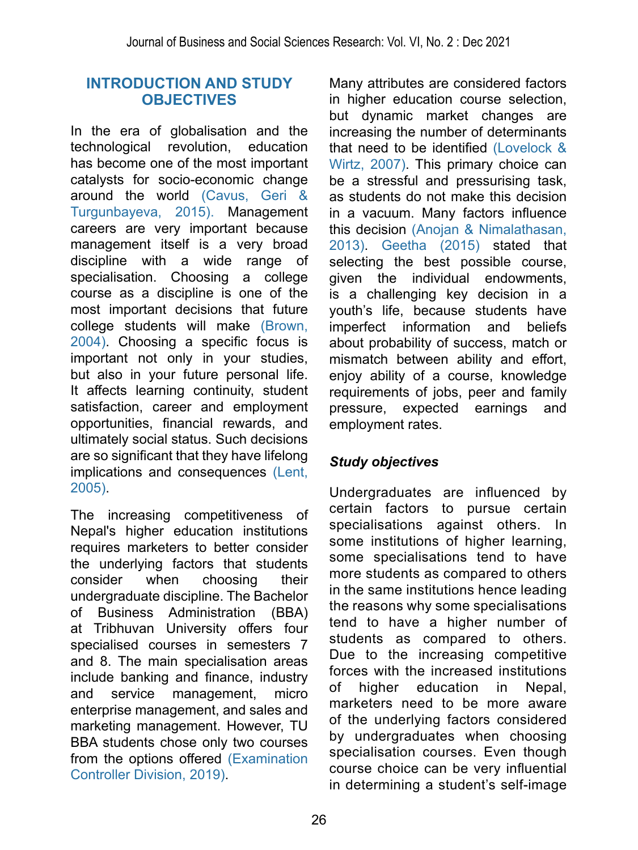#### **INTRODUCTION AND STUDY OBJECTIVES**

In the era of globalisation and the technological revolution, education has become one of the most important catalysts for socio-economic change around the world [\(Cavus, Geri &](#page-11-0) [Turgunbayeva, 2015\)](#page-11-0). Management careers are very important because management itself is a very broad discipline with a wide range of specialisation. Choosing a college course as a discipline is one of the most important decisions that future college students will make [\(Brown,](#page-11-1) [2004\)](#page-11-1). Choosing a specific focus is important not only in your studies, but also in your future personal life. It affects learning continuity, student satisfaction, career and employment opportunities, financial rewards, and ultimately social status. Such decisions are so significant that they have lifelong implications and consequences [\(Lent,](#page-12-0) [2005\).](#page-12-0)

The increasing competitiveness of Nepal's higher education institutions requires marketers to better consider the underlying factors that students consider when choosing their undergraduate discipline. The Bachelor of Business Administration (BBA) at Tribhuvan University offers four specialised courses in semesters 7 and 8. The main specialisation areas include banking and finance, industry and service management, micro enterprise management, and sales and marketing management. However, TU BBA students chose only two courses from the options offered [\(Examination](#page-11-2) [Controller Division, 2019\).](#page-11-2)

Many attributes are considered factors in higher education course selection, but dynamic market changes are increasing the number of determinants that need to be identified [\(Lovelock &](#page-12-1) [Wirtz, 2007\)](#page-12-1). This primary choice can be a stressful and pressurising task, as students do not make this decision in a vacuum. Many factors influence this decision [\(Anojan & Nimalathasan,](#page-10-0) [2013\)](#page-10-0). [Geetha \(2015\)](#page-11-3) stated that selecting the best possible course, given the individual endowments, is a challenging key decision in a youth's life, because students have imperfect information and beliefs about probability of success, match or mismatch between ability and effort, enjoy ability of a course, knowledge requirements of jobs, peer and family pressure, expected earnings and employment rates.

### *Study objectives*

Undergraduates are influenced by certain factors to pursue certain specialisations against others. In some institutions of higher learning, some specialisations tend to have more students as compared to others in the same institutions hence leading the reasons why some specialisations tend to have a higher number of students as compared to others. Due to the increasing competitive forces with the increased institutions of higher education in Nepal, marketers need to be more aware of the underlying factors considered by undergraduates when choosing specialisation courses. Even though course choice can be very influential in determining a student's self-image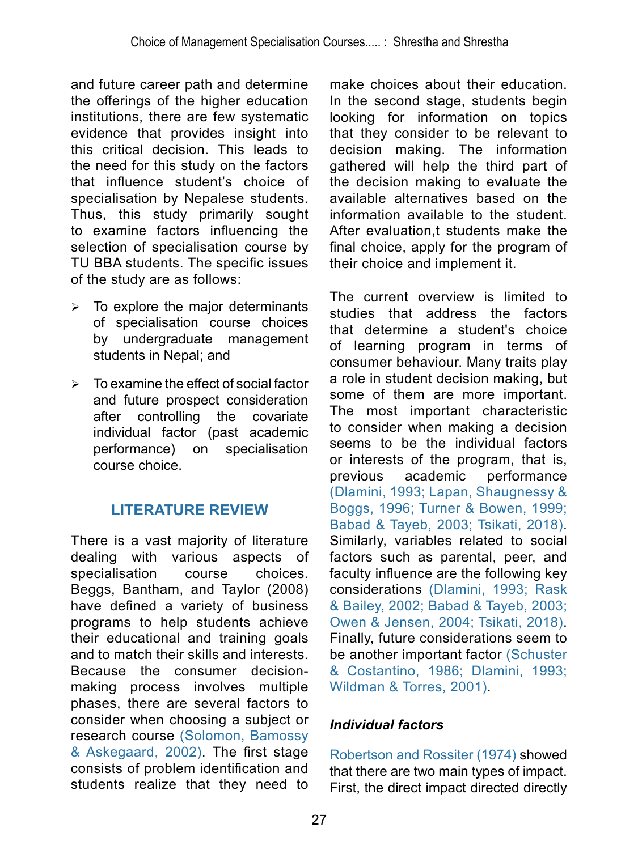and future career path and determine the offerings of the higher education institutions, there are few systematic evidence that provides insight into this critical decision. This leads to the need for this study on the factors that influence student's choice of specialisation by Nepalese students. Thus, this study primarily sought to examine factors influencing the selection of specialisation course by TU BBA students. The specific issues of the study are as follows:

- $\geq$  To explore the major determinants of specialisation course choices by undergraduate management students in Nepal; and
- $\triangleright$  To examine the effect of social factor and future prospect consideration after controlling the covariate individual factor (past academic performance) on specialisation course choice.

### **LITERATURE REVIEW**

There is a vast majority of literature dealing with various aspects of specialisation course choices. Beggs, Bantham, and Taylor (2008) have defined a variety of business programs to help students achieve their educational and training goals and to match their skills and interests. Because the consumer decisionmaking process involves multiple phases, there are several factors to consider when choosing a subject or research course [\(Solomon, Bamossy](#page-12-2)  [& Askegaard, 2002\)](#page-12-2). The first stage consists of problem identification and students realize that they need to

make choices about their education. In the second stage, students begin looking for information on topics that they consider to be relevant to decision making. The information gathered will help the third part of the decision making to evaluate the available alternatives based on the information available to the student. After evaluation,t students make the final choice, apply for the program of their choice and implement it.

The current overview is limited to studies that address the factors that determine a student's choice of learning program in terms of consumer behaviour. Many traits play a role in student decision making, but some of them are more important. The most important characteristic to consider when making a decision seems to be the individual factors or interests of the program, that is, previous academic performance ([Dlamini, 1993;](#page-11-4) [Lapan, Shaugnessy &](#page-12-3)  [Boggs, 1996;](#page-12-3) [Turner & Bowen, 1999;](#page-13-0)  [Babad & Tayeb, 2003;](#page-11-5) [Tsikati, 2018\)](#page-12-4). Similarly, variables related to social factors such as parental, peer, and faculty influence are the following key considerations ([Dlamini, 1993;](#page-11-4) [Rask](#page-12-5)  [& Bailey, 2002;](#page-12-5) [Babad & Tayeb, 2003;](#page-11-5)  [Owen & Jensen, 2004;](#page-12-6) [Tsikati, 2018\)](#page-12-4). Finally, future considerations seem to be another important factor [\(Schuster](#page-12-7)  [& Costantino, 1986;](#page-12-7) [Dlamini, 1993;](#page-11-4)  [Wildman & Torres, 2001\).](#page-13-1)

#### *Individual factors*

[Robertson and Rossiter \(1974\)](#page-12-8) showed that there are two main types of impact. First, the direct impact directed directly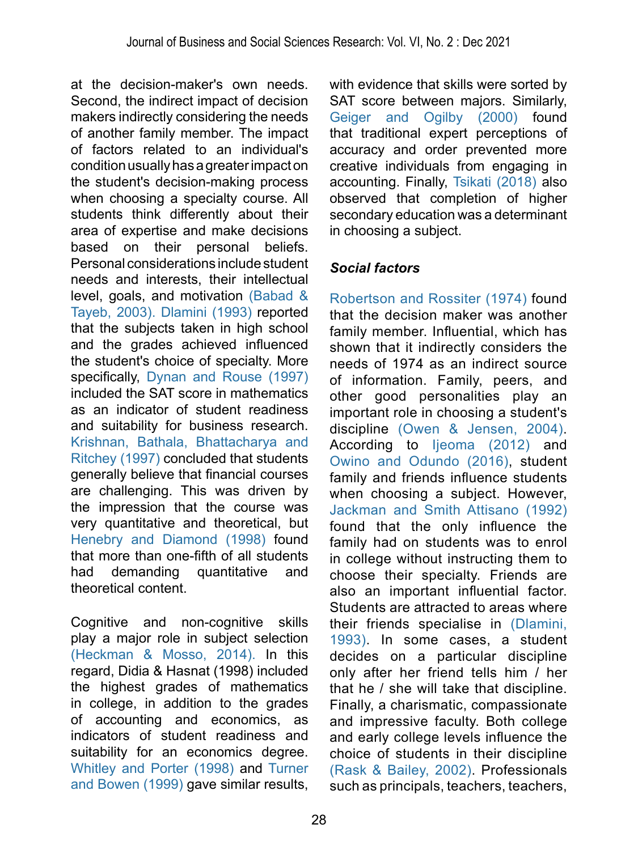at the decision-maker's own needs. Second, the indirect impact of decision makers indirectly considering the needs of another family member. The impact of factors related to an individual's condition usually has a greater impact on the student's decision-making process when choosing a specialty course. All students think differently about their area of expertise and make decisions based on their personal beliefs. Personal considerations include student needs and interests, their intellectual level, goals, and motivation [\(Babad &](#page-11-5)  [Tayeb, 2003\)](#page-11-5). [Dlamini \(1993\)](#page-11-4) reported that the subjects taken in high school and the grades achieved influenced the student's choice of specialty. More specifically, [Dynan and Rouse \(1997\)](#page-11-6)  included the SAT score in mathematics as an indicator of student readiness and suitability for business research. [Krishnan, Bathala, Bhattacharya and](#page-12-9)  [Ritchey \(1997\)](#page-12-9) concluded that students generally believe that financial courses are challenging. This was driven by the impression that the course was very quantitative and theoretical, but [Henebry and Diamond \(1998\)](#page-11-7) found that more than one-fifth of all students had demanding quantitative and theoretical content.

Cognitive and non-cognitive skills play a major role in subject selection [\(Heckman & Mosso, 2014\).](#page-11-8) In this regard, Didia & Hasnat (1998) included the highest grades of mathematics in college, in addition to the grades of accounting and economics, as indicators of student readiness and suitability for an economics degree. [Whitley and Porter \(1998\)](#page-13-2) and [Turner](#page-13-0)  [and Bowen \(1999\)](#page-13-0) gave similar results,

with evidence that skills were sorted by SAT score between majors. Similarly, [Geiger and Ogilby \(2000\)](#page-11-9) found that traditional expert perceptions of accuracy and order prevented more creative individuals from engaging in accounting. Finally, [Tsikati \(2018\)](#page-12-4) also observed that completion of higher secondary education was a determinant in choosing a subject.

### *Social factors*

[Robertson and Rossiter \(1974\)](#page-12-8) found that the decision maker was another family member. Influential, which has shown that it indirectly considers the needs of 1974 as an indirect source of information. Family, peers, and other good personalities play an important role in choosing a student's discipline [\(Owen & Jensen, 2004\)](#page-12-6). According to [Ijeoma \(2012\)](#page-11-10) and [Owino and Odundo \(2016\),](#page-12-10) student family and friends influence students when choosing a subject. However, [Jackman and Smith Attisano \(1992\)](#page-11-11)  found that the only influence the family had on students was to enrol in college without instructing them to choose their specialty. Friends are also an important influential factor. Students are attracted to areas where their friends specialise in [\(Dlamini,](#page-11-4)  [1993\).](#page-11-4) In some cases, a student decides on a particular discipline only after her friend tells him / her that he / she will take that discipline. Finally, a charismatic, compassionate and impressive faculty. Both college and early college levels influence the choice of students in their discipline [\(Rask & Bailey, 2002\)](#page-12-5). Professionals such as principals, teachers, teachers,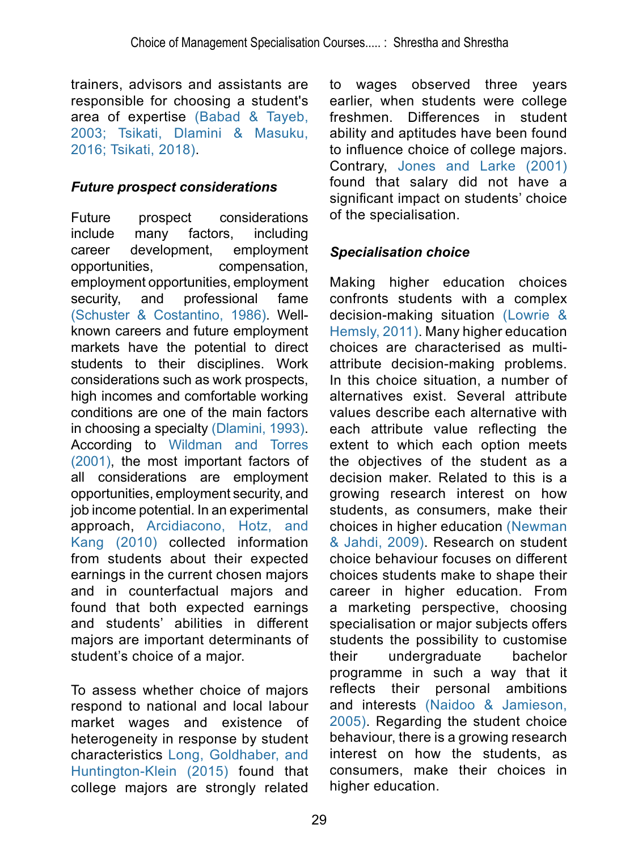trainers, advisors and assistants are responsible for choosing a student's area of expertise [\(Babad & Tayeb,](#page-11-5)  [2003;](#page-11-5) [Tsikati, Dlamini & Masuku,](#page-12-11)  [2016;](#page-12-11) [Tsikati, 2018\)](#page-12-4).

#### *Future prospect considerations*

Future prospect considerations include many factors, including career development, employment opportunities, compensation, employment opportunities, employment security, and professional fame [\(Schuster & Costantino, 1986\).](#page-12-7) Wellknown careers and future employment markets have the potential to direct students to their disciplines. Work considerations such as work prospects, high incomes and comfortable working conditions are one of the main factors in choosing a specialty [\(Dlamini, 1993\).](#page-11-4) According to [Wildman and Torres](#page-13-1)  [\(2001\)](#page-13-1), the most important factors of all considerations are employment opportunities, employment security, and job income potential. In an experimental approach, [Arcidiacono, Hotz, and](#page-11-12)  [Kang \(2010\)](#page-11-12) collected information from students about their expected earnings in the current chosen majors and in counterfactual majors and found that both expected earnings and students' abilities in different majors are important determinants of student's choice of a major.

To assess whether choice of majors respond to national and local labour market wages and existence of heterogeneity in response by student characteristics [Long, Goldhaber, and](#page-12-12)  [Huntington-Klein \(2015\)](#page-12-12) found that college majors are strongly related

to wages observed three years earlier, when students were college freshmen. Differences in student ability and aptitudes have been found to influence choice of college majors. Contrary, [Jones and Larke \(2001\)](#page-12-13)  found that salary did not have a significant impact on students' choice of the specialisation.

### *Specialisation choice*

Making higher education choices confronts students with a complex decision-making situation [\(Lowrie &](#page-12-14)  [Hemsly, 2011\).](#page-12-14) Many higher education choices are characterised as multiattribute decision-making problems. In this choice situation, a number of alternatives exist. Several attribute values describe each alternative with each attribute value reflecting the extent to which each option meets the objectives of the student as a decision maker. Related to this is a growing research interest on how students, as consumers, make their choices in higher education [\(Newman](#page-12-15)  [& Jahdi, 2009\)](#page-12-15). Research on student choice behaviour focuses on different choices students make to shape their career in higher education. From a marketing perspective, choosing specialisation or major subjects offers students the possibility to customise their undergraduate bachelor programme in such a way that it reflects their personal ambitions and interests [\(Naidoo & Jamieson,](#page-12-16)  [2005\).](#page-12-16) Regarding the student choice behaviour, there is a growing research interest on how the students, as consumers, make their choices in higher education.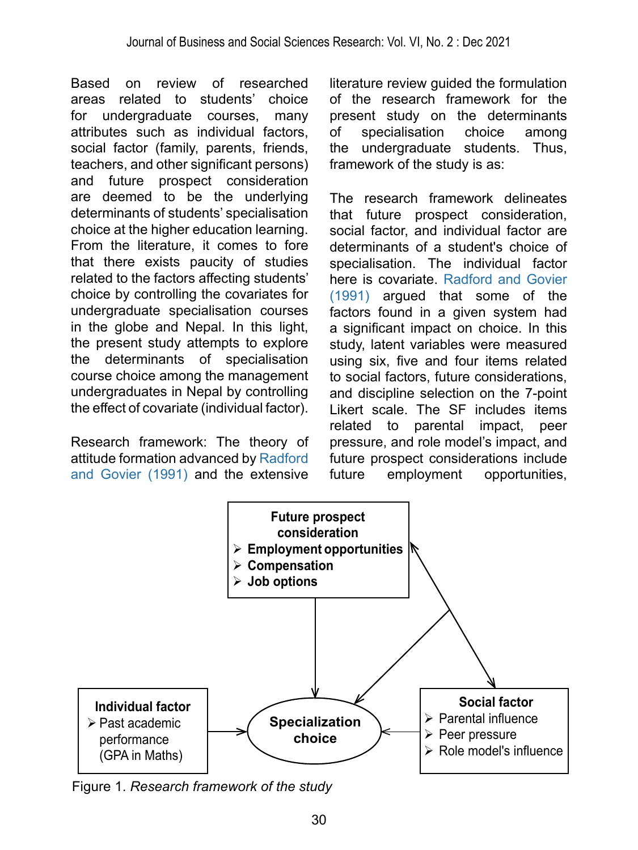Based on review of researched areas related to students' choice for undergraduate courses, many attributes such as individual factors, social factor (family, parents, friends, teachers, and other significant persons) and future prospect consideration are deemed to be the underlying determinants of students' specialisation choice at the higher education learning. From the literature, it comes to fore that there exists paucity of studies related to the factors affecting students' choice by controlling the covariates for undergraduate specialisation courses in the globe and Nepal. In this light, the present study attempts to explore the determinants of specialisation course choice among the management undergraduates in Nepal by controlling the effect of covariate (individual factor).

Research framework: The theory of attitude formation advanced by [Radford](#page-12-17)  [and Govier \(1991\)](#page-12-17) and the extensive

literature review guided the formulation of the research framework for the present study on the determinants of specialisation choice among the undergraduate students. Thus, framework of the study is as:

The research framework delineates that future prospect consideration, social factor, and individual factor are determinants of a student's choice of specialisation. The individual factor here is covariate. [Radford and Govier](#page-12-17)  [\(1991\)](#page-12-17) argued that some of the factors found in a given system had a significant impact on choice. In this study, latent variables were measured using six, five and four items related to social factors, future considerations, and discipline selection on the 7-point Likert scale. The SF includes items related to parental impact, peer pressure, and role model's impact, and future prospect considerations include future employment opportunities,



Figure 1. *Research framework of the study*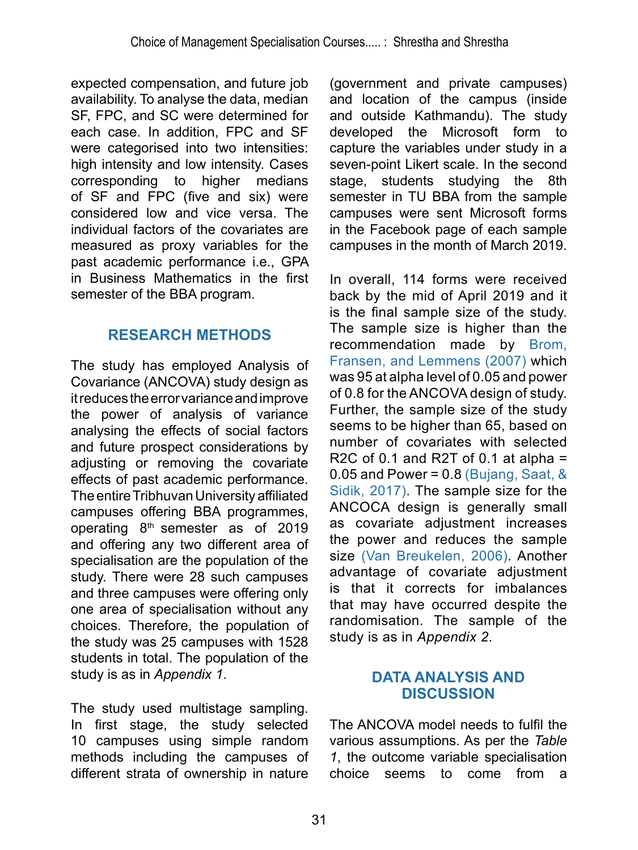expected compensation, and future job availability. To analyse the data, median SF, FPC, and SC were determined for each case. In addition, FPC and SF were categorised into two intensities: high intensity and low intensity. Cases corresponding to higher medians of SF and FPC (five and six) were considered low and vice versa. The individual factors of the covariates are measured as proxy variables for the past academic performance i.e., GPA in Business Mathematics in the first semester of the BBA program.

### **RESEARCH METHODS**

The study has employed Analysis of Covariance (ANCOVA) study design as it reduces the error variance and improve the power of analysis of variance analysing the effects of social factors and future prospect considerations by adjusting or removing the covariate effects of past academic performance. The entire Tribhuvan University affiliated campuses offering BBA programmes, operating 8th semester as of 2019 and offering any two different area of specialisation are the population of the study. There were 28 such campuses and three campuses were offering only one area of specialisation without any choices. Therefore, the population of the study was 25 campuses with 1528 students in total. The population of the study is as in *Appendix 1*.

The study used multistage sampling. In first stage, the study selected 10 campuses using simple random methods including the campuses of different strata of ownership in nature

(government and private campuses) and location of the campus (inside and outside Kathmandu). The study developed the Microsoft form to capture the variables under study in a seven-point Likert scale. In the second stage, students studying the 8th semester in TU BBA from the sample campuses were sent Microsoft forms in the Facebook page of each sample campuses in the month of March 2019.

In overall, 114 forms were received back by the mid of April 2019 and it is the final sample size of the study. The sample size is higher than the recommendation made by [Brom,](#page-11-13)  [Fransen, and Lemmens \(2007\)](#page-11-13) which was 95 at alpha level of 0.05 and power of 0.8 for the ANCOVA design of study. Further, the sample size of the study seems to be higher than 65, based on number of covariates with selected R2C of 0.1 and R2T of 0.1 at alpha  $=$ 0.05 and Power =  $0.8$  (Bujang, Saat, & [Sidik, 2017\).](#page-11-14) The sample size for the ANCOCA design is generally small as covariate adjustment increases the power and reduces the sample size [\(Van Breukelen, 2006\)](#page-13-3). Another advantage of covariate adjustment is that it corrects for imbalances that may have occurred despite the randomisation. The sample of the study is as in *Appendix 2*.

### **DATA ANALYSIS AND DISCUSSION**

The ANCOVA model needs to fulfil the various assumptions. As per the *Table 1*, the outcome variable specialisation choice seems to come from a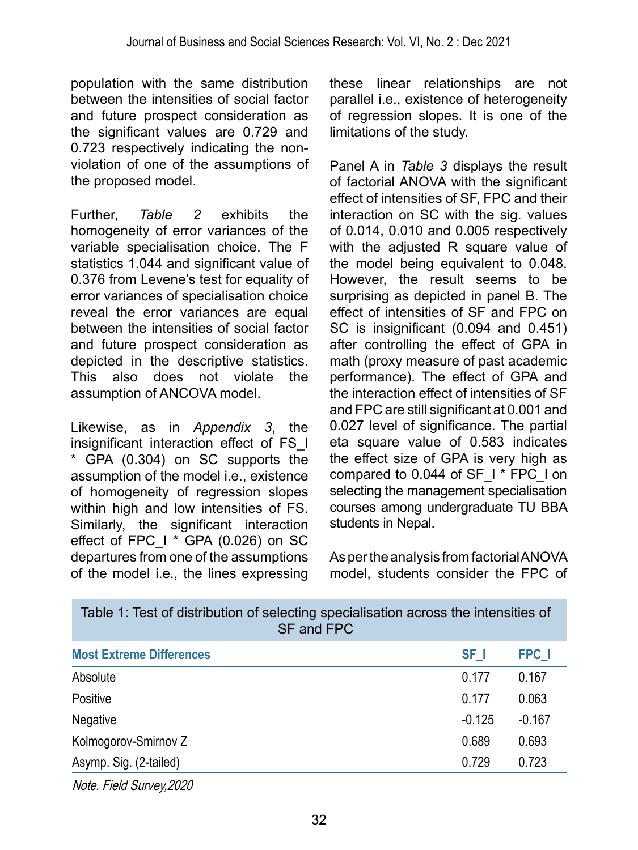population with the same distribution between the intensities of social factor and future prospect consideration as the significant values are 0.729 and 0.723 respectively indicating the nonviolation of one of the assumptions of the proposed model.

Further, *Table 2* exhibits the homogeneity of error variances of the variable specialisation choice. The F statistics 1.044 and significant value of 0.376 from Levene's test for equality of error variances of specialisation choice reveal the error variances are equal between the intensities of social factor and future prospect consideration as depicted in the descriptive statistics. This also does not violate the assumption of ANCOVA model.

Likewise, as in *Appendix 3*, the insignificant interaction effect of FS I \* GPA (0.304) on SC supports the assumption of the model i.e., existence of homogeneity of regression slopes within high and low intensities of FS. Similarly, the significant interaction effect of FPC  $1 * GPA$  (0.026) on SC departures from one of the assumptions of the model i.e., the lines expressing these linear relationships are not parallel i.e., existence of heterogeneity of regression slopes. It is one of the limitations of the study.

Panel A in *Table 3* displays the result of factorial ANOVA with the significant effect of intensities of SF, FPC and their interaction on SC with the sig. values of 0.014, 0.010 and 0.005 respectively with the adjusted R square value of the model being equivalent to 0.048. However, the result seems to be surprising as depicted in panel B. The effect of intensities of SF and FPC on SC is insignificant (0.094 and 0.451) after controlling the effect of GPA in math (proxy measure of past academic performance). The effect of GPA and the interaction effect of intensities of SF and FPC are still significant at 0.001 and 0.027 level of significance. The partial eta square value of 0.583 indicates the effect size of GPA is very high as compared to  $0.044$  of SF  $\perp$  \* FPC  $\perp$  on selecting the management specialisation courses among undergraduate TU BBA students in Nepal.

As per the analysis from factorial ANOVA model, students consider the FPC of

| SF and FPC                      |                 |          |  |  |  |
|---------------------------------|-----------------|----------|--|--|--|
| <b>Most Extreme Differences</b> | SF <sub>1</sub> | FPC 1    |  |  |  |
| Absolute                        | 0.177           | 0.167    |  |  |  |
| Positive                        | 0.177           | 0.063    |  |  |  |
| Negative                        | $-0.125$        | $-0.167$ |  |  |  |
| Kolmogorov-Smirnov Z            | 0.689           | 0.693    |  |  |  |
| Asymp. Sig. (2-tailed)          | 0.729           | 0.723    |  |  |  |

Table 1: Test of distribution of selecting specialisation across the intensities of

Note. Field Survey,2020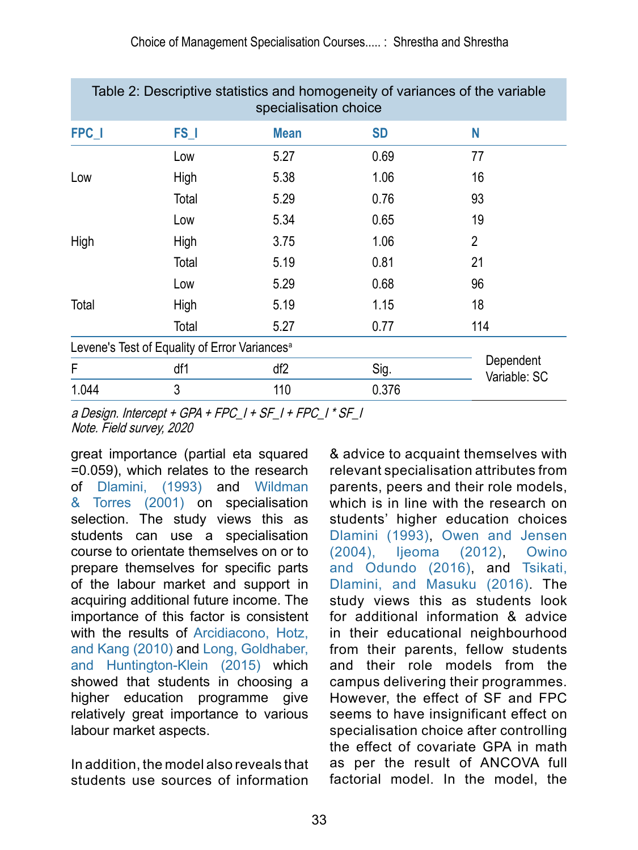|                                                           |       | specialisation choice |           | Table 2: Descriptive statistics and homogeneity of variances of the variable |  |
|-----------------------------------------------------------|-------|-----------------------|-----------|------------------------------------------------------------------------------|--|
| FPC 1                                                     | FS_I  | <b>Mean</b>           | <b>SD</b> | N                                                                            |  |
|                                                           | Low   | 5.27                  | 0.69      | 77                                                                           |  |
| Low                                                       | High  | 5.38                  | 1.06      | 16                                                                           |  |
|                                                           | Total | 5.29                  | 0.76      | 93                                                                           |  |
|                                                           | Low   | 5.34                  | 0.65      | 19                                                                           |  |
| High                                                      | High  | 3.75                  | 1.06      | $\overline{2}$                                                               |  |
|                                                           | Total | 5.19                  | 0.81      | 21                                                                           |  |
|                                                           | Low   | 5.29                  | 0.68      | 96                                                                           |  |
| Total                                                     | High  | 5.19                  | 1.15      | 18                                                                           |  |
|                                                           | Total | 5.27                  | 0.77      | 114                                                                          |  |
| Levene's Test of Equality of Error Variances <sup>a</sup> |       |                       |           |                                                                              |  |
| F                                                         | df1   | df2                   | Sig.      | Dependent<br>Variable: SC                                                    |  |
| 1.044                                                     | 3     | 110                   | 0.376     |                                                                              |  |

a Design. Intercept + GPA + FPC  $1 + SF$  I + FPC  $1 * SF$  I Note. Field survey, 2020

great importance (partial eta squared =0.059), which relates to the research of [Dlamini, \(1993\)](#page-11-4) and [Wildman](#page-13-1)  [& Torres \(2001\)](#page-13-1) on specialisation selection. The study views this as students can use a specialisation course to orientate themselves on or to prepare themselves for specific parts of the labour market and support in acquiring additional future income. The importance of this factor is consistent with the results of Arcidiacono, Hotz, [and Kang \(2010\)](#page-11-12) and [Long, Goldhaber,](#page-12-12)  [and Huntington-Klein \(2015\)](#page-12-12) which showed that students in choosing a higher education programme give relatively great importance to various labour market aspects.

In addition, the model also reveals that students use sources of information

& advice to acquaint themselves with relevant specialisation attributes from parents, peers and their role models, which is in line with the research on students' higher education choices [Dlamini \(1993\)](#page-11-4), [Owen and Jensen](#page-12-6)  [\(2004\),](#page-12-6) [Ijeoma \(2012\),](#page-11-10) [Owino](#page-12-10)  [and Odundo \(2016\)](#page-12-10), and [Tsikati,](#page-12-11)  [Dlamini, and Masuku \(2016\).](#page-12-11) The study views this as students look for additional information & advice in their educational neighbourhood from their parents, fellow students and their role models from the campus delivering their programmes. However, the effect of SF and FPC seems to have insignificant effect on specialisation choice after controlling the effect of covariate GPA in math as per the result of ANCOVA full factorial model. In the model, the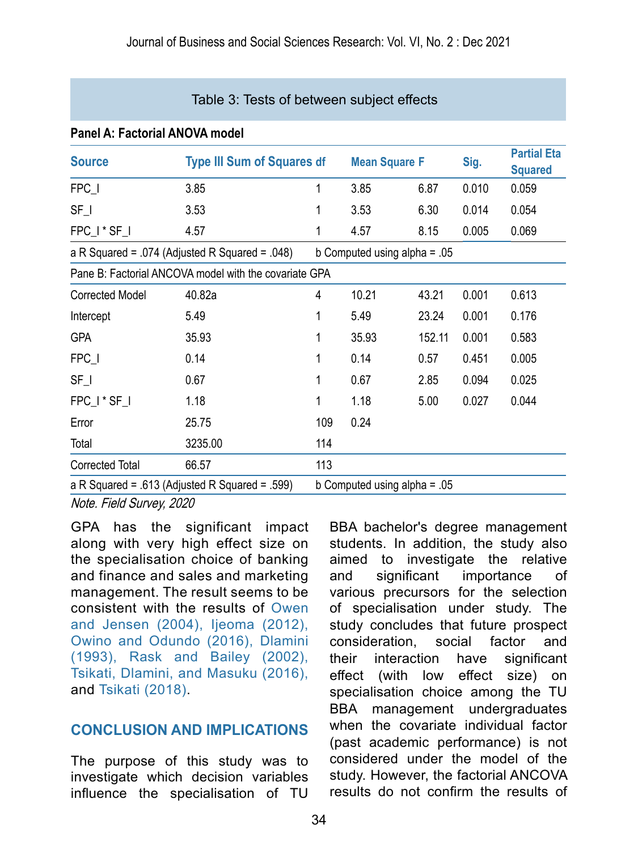| Table 3: Tests of between subject effects      |                                                       |     |                      |                                |       |                                      |  |
|------------------------------------------------|-------------------------------------------------------|-----|----------------------|--------------------------------|-------|--------------------------------------|--|
| Panel A: Factorial ANOVA model                 |                                                       |     |                      |                                |       |                                      |  |
| <b>Source</b>                                  | <b>Type III Sum of Squares df</b>                     |     | <b>Mean Square F</b> |                                | Sig.  | <b>Partial Eta</b><br><b>Squared</b> |  |
| FPC_I                                          | 3.85                                                  | 1   | 3.85                 | 6.87                           | 0.010 | 0.059                                |  |
| $SF_l$                                         | 3.53                                                  | 1   | 3.53                 | 6.30                           | 0.014 | 0.054                                |  |
| FPC_I * SF_I                                   | 4.57                                                  | 1   | 4.57                 | 8.15                           | 0.005 | 0.069                                |  |
|                                                | a R Squared = .074 (Adjusted R Squared = .048)        |     |                      | b Computed using alpha = $.05$ |       |                                      |  |
|                                                | Pane B: Factorial ANCOVA model with the covariate GPA |     |                      |                                |       |                                      |  |
| <b>Corrected Model</b>                         | 40.82a                                                | 4   | 10.21                | 43.21                          | 0.001 | 0.613                                |  |
| Intercept                                      | 5.49                                                  | 1   | 5.49                 | 23.24                          | 0.001 | 0.176                                |  |
| <b>GPA</b>                                     | 35.93                                                 | 1   | 35.93                | 152.11                         | 0.001 | 0.583                                |  |
| FPC_I                                          | 0.14                                                  | 1   | 0.14                 | 0.57                           | 0.451 | 0.005                                |  |
| $SF_l$                                         | 0.67                                                  | 1   | 0.67                 | 2.85                           | 0.094 | 0.025                                |  |
| FPC_I * SF_I                                   | 1.18                                                  | 1   | 1.18                 | 5.00                           | 0.027 | 0.044                                |  |
| Error                                          | 25.75                                                 | 109 | 0.24                 |                                |       |                                      |  |
| Total                                          | 3235.00                                               | 114 |                      |                                |       |                                      |  |
| <b>Corrected Total</b>                         | 66.57                                                 | 113 |                      |                                |       |                                      |  |
| a R Squared = .613 (Adjusted R Squared = .599) |                                                       |     |                      | b Computed using alpha = $.05$ |       |                                      |  |

Note. Field Survey, 2020

GPA has the significant impact along with very high effect size on the specialisation choice of banking and finance and sales and marketing management. The result seems to be consistent with the results of [Owen](#page-12-6)  [and Jensen \(2004\),](#page-12-6) [Ijeoma \(2012\),](#page-11-10) [Owino and Odundo \(2016\)](#page-12-10), [Dlamini](#page-11-4)  [\(1993\),](#page-11-4) [Rask and Bailey \(2002\),](#page-12-5) [Tsikati, Dlamini, and Masuku \(2016\),](#page-12-11) and [Tsikati \(2018\)](#page-12-4).

#### **CONCLUSION AND IMPLICATIONS**

The purpose of this study was to investigate which decision variables influence the specialisation of TU

BBA bachelor's degree management students. In addition, the study also aimed to investigate the relative and significant importance of various precursors for the selection of specialisation under study. The study concludes that future prospect consideration, social factor and their interaction have significant effect (with low effect size) on specialisation choice among the TU BBA management undergraduates when the covariate individual factor (past academic performance) is not considered under the model of the study. However, the factorial ANCOVA results do not confirm the results of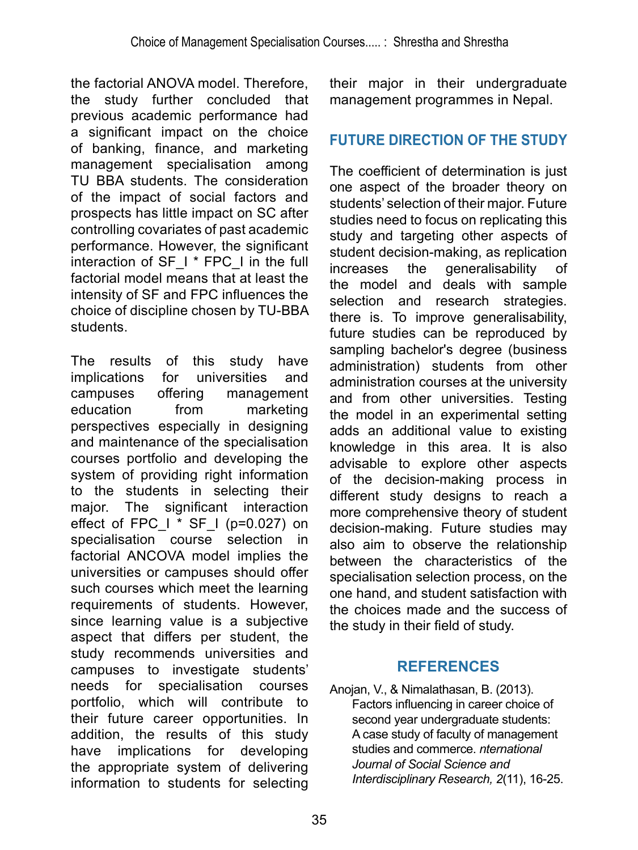the factorial ANOVA model. Therefore, the study further concluded that previous academic performance had a significant impact on the choice of banking, finance, and marketing management specialisation among TU BBA students. The consideration of the impact of social factors and prospects has little impact on SC after controlling covariates of past academic performance. However, the significant interaction of SF<sub>1</sub> \* FPC<sub>1</sub> in the full factorial model means that at least the intensity of SF and FPC influences the choice of discipline chosen by TU-BBA students.

The results of this study have<br>implications for universities and implications for universities<br>campuses offering manage offering management education from marketing perspectives especially in designing and maintenance of the specialisation courses portfolio and developing the system of providing right information to the students in selecting their major. The significant interaction effect of FPC  $1 * SF$  I (p=0.027) on specialisation course selection in factorial ANCOVA model implies the universities or campuses should offer such courses which meet the learning requirements of students. However, since learning value is a subjective aspect that differs per student, the study recommends universities and campuses to investigate students' needs for specialisation courses portfolio, which will contribute to their future career opportunities. In addition, the results of this study have implications for developing the appropriate system of delivering information to students for selecting

their major in their undergraduate management programmes in Nepal.

### **FUTURE DIRECTION OF THE STUDY**

The coefficient of determination is just one aspect of the broader theory on students' selection of their major. Future studies need to focus on replicating this study and targeting other aspects of student decision-making, as replication increases the generalisability of the model and deals with sample selection and research strategies. there is. To improve generalisability, future studies can be reproduced by sampling bachelor's degree (business administration) students from other administration courses at the university and from other universities. Testing the model in an experimental setting adds an additional value to existing knowledge in this area. It is also advisable to explore other aspects of the decision-making process in different study designs to reach a more comprehensive theory of student decision-making. Future studies may also aim to observe the relationship between the characteristics of the specialisation selection process, on the one hand, and student satisfaction with the choices made and the success of the study in their field of study.

### **REFERENCES**

<span id="page-10-0"></span>Anojan, V., & Nimalathasan, B. (2013). Factors influencing in career choice of second year undergraduate students: A case study of faculty of management studies and commerce. *nternational Journal of Social Science and Interdisciplinary Research, 2*(11), 16-25.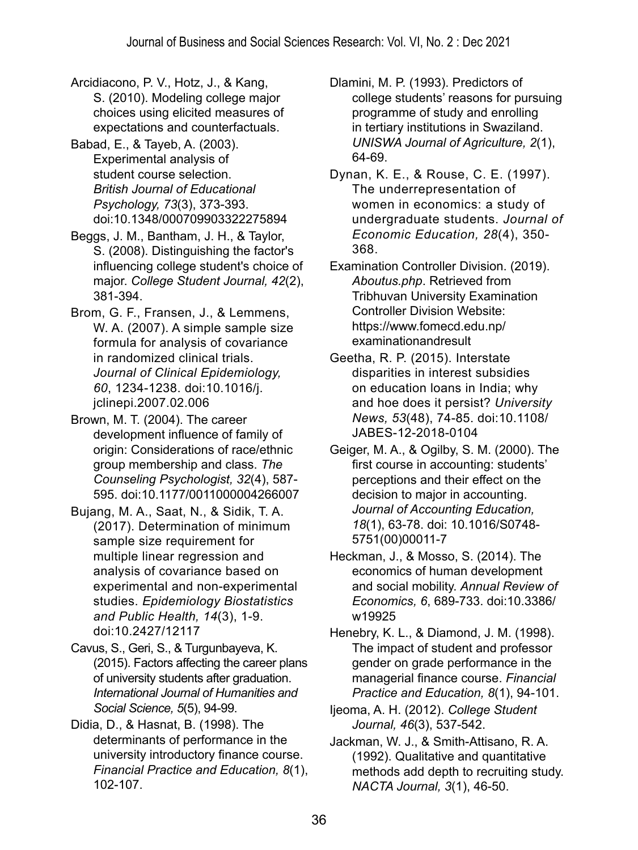- <span id="page-11-12"></span>Arcidiacono, P. V., Hotz, J., & Kang, S. (2010). Modeling college major choices using elicited measures of expectations and counterfactuals.
- <span id="page-11-5"></span>Babad, E., & Tayeb, A. (2003). Experimental analysis of student course selection. *British Journal of Educational Psychology, 73*(3), 373-393. doi:10.1348/000709903322275894
- Beggs, J. M., Bantham, J. H., & Taylor, S. (2008). Distinguishing the factor's influencing college student's choice of major. *College Student Journal, 42*(2), 381-394.
- <span id="page-11-13"></span>Brom, G. F., Fransen, J., & Lemmens, W. A. (2007). A simple sample size formula for analysis of covariance in randomized clinical trials. *Journal of Clinical Epidemiology, 60*, 1234-1238. doi:10.1016/j. jclinepi.2007.02.006
- <span id="page-11-1"></span>Brown, M. T. (2004). The career development influence of family of origin: Considerations of race/ethnic group membership and class. *The Counseling Psychologist, 32*(4), 587- 595. doi:10.1177/0011000004266007
- <span id="page-11-14"></span>Bujang, M. A., Saat, N., & Sidik, T. A. (2017). Determination of minimum sample size requirement for multiple linear regression and analysis of covariance based on experimental and non-experimental studies. *Epidemiology Biostatistics and Public Health, 14*(3), 1-9. doi:10.2427/12117
- <span id="page-11-0"></span>Cavus, S., Geri, S., & Turgunbayeva, K. (2015). Factors affecting the career plans of university students after graduation. *International Journal of Humanities and Social Science, 5*(5), 94-99.
- Didia, D., & Hasnat, B. (1998). The determinants of performance in the university introductory finance course. *Financial Practice and Education, 8*(1), 102-107.
- <span id="page-11-4"></span>Dlamini, M. P. (1993). Predictors of college students' reasons for pursuing programme of study and enrolling in tertiary institutions in Swaziland. *UNISWA Journal of Agriculture, 2*(1), 64-69.
- <span id="page-11-6"></span>Dynan, K. E., & Rouse, C. E. (1997). The underrepresentation of women in economics: a study of undergraduate students. *Journal of Economic Education, 28*(4), 350- 368.
- <span id="page-11-2"></span>Examination Controller Division. (2019). *Aboutus.php*. Retrieved from Tribhuvan University Examination Controller Division Website: https://www.fomecd.edu.np/ examinationandresult
- <span id="page-11-3"></span>Geetha, R. P. (2015). Interstate disparities in interest subsidies on education loans in India; why and hoe does it persist? *University News, 53*(48), 74-85. doi:10.1108/ JABES-12-2018-0104
- <span id="page-11-9"></span>Geiger, M. A., & Ogilby, S. M. (2000). The first course in accounting: students' perceptions and their effect on the decision to major in accounting. *Journal of Accounting Education, 18*(1), 63-78. doi: 10.1016/S0748- 5751(00)00011-7
- <span id="page-11-8"></span>Heckman, J., & Mosso, S. (2014). The economics of human development and social mobility. *Annual Review of Economics, 6*, 689-733. doi:10.3386/ w19925
- <span id="page-11-7"></span>Henebry, K. L., & Diamond, J. M. (1998). The impact of student and professor gender on grade performance in the managerial finance course. *Financial Practice and Education, 8*(1), 94-101.
- <span id="page-11-10"></span>Ijeoma, A. H. (2012). *College Student Journal, 46*(3), 537-542.
- <span id="page-11-11"></span>Jackman, W. J., & Smith-Attisano, R. A. (1992). Qualitative and quantitative methods add depth to recruiting study. *NACTA Journal, 3*(1), 46-50.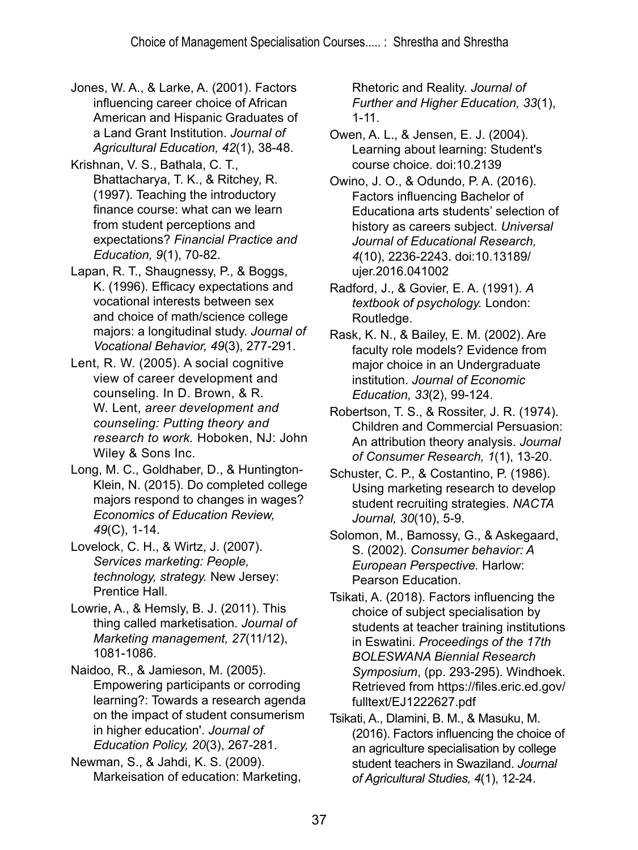- <span id="page-12-13"></span>Jones, W. A., & Larke, A. (2001). Factors influencing career choice of African American and Hispanic Graduates of a Land Grant Institution. *Journal of Agricultural Education, 42*(1), 38-48.
- <span id="page-12-9"></span>Krishnan, V. S., Bathala, C. T., Bhattacharya, T. K., & Ritchey, R. (1997). Teaching the introductory finance course: what can we learn from student perceptions and expectations? *Financial Practice and Education, 9*(1), 70-82.
- <span id="page-12-3"></span>Lapan, R. T., Shaugnessy, P., & Boggs, K. (1996). Efficacy expectations and vocational interests between sex and choice of math/science college majors: a longitudinal study. *Journal of Vocational Behavior, 49*(3), 277-291.
- <span id="page-12-0"></span>Lent, R. W. (2005). A social cognitive view of career development and counseling. In D. Brown, & R. W. Lent, *areer development and counseling: Putting theory and research to work.* Hoboken, NJ: John Wiley & Sons Inc.
- <span id="page-12-12"></span>Long, M. C., Goldhaber, D., & Huntington-Klein, N. (2015). Do completed college majors respond to changes in wages? *Economics of Education Review, 49*(C), 1-14.
- <span id="page-12-1"></span>Lovelock, C. H., & Wirtz, J. (2007). *Services marketing: People, technology, strategy.* New Jersey: Prentice Hall.
- <span id="page-12-14"></span>Lowrie, A., & Hemsly, B. J. (2011). This thing called marketisation. *Journal of Marketing management, 27*(11/12), 1081-1086.
- <span id="page-12-16"></span>Naidoo, R., & Jamieson, M. (2005). Empowering participants or corroding learning?: Towards a research agenda on the impact of student consumerism in higher education'. *Journal of Education Policy, 20*(3), 267-281.
- <span id="page-12-15"></span>Newman, S., & Jahdi, K. S. (2009). Markeisation of education: Marketing,

Rhetoric and Reality. *Journal of Further and Higher Education, 33*(1), 1-11.

- <span id="page-12-6"></span>Owen, A. L., & Jensen, E. J. (2004). Learning about learning: Student's course choice. doi:10.2139
- <span id="page-12-10"></span>Owino, J. O., & Odundo, P. A. (2016). Factors influencing Bachelor of Educationa arts students' selection of history as careers subject. *Universal Journal of Educational Research, 4*(10), 2236-2243. doi:10.13189/ ujer.2016.041002
- <span id="page-12-17"></span>Radford, J., & Govier, E. A. (1991). *A textbook of psychology.* London: Routledge.
- <span id="page-12-5"></span>Rask, K. N., & Bailey, E. M. (2002). Are faculty role models? Evidence from major choice in an Undergraduate institution. *Journal of Economic Education, 33*(2), 99-124.
- <span id="page-12-8"></span>Robertson, T. S., & Rossiter, J. R. (1974). Children and Commercial Persuasion: An attribution theory analysis. *Journal of Consumer Research, 1*(1), 13-20.
- <span id="page-12-7"></span>Schuster, C. P., & Costantino, P. (1986). Using marketing research to develop student recruiting strategies. *NACTA Journal, 30*(10), 5-9.
- <span id="page-12-2"></span>Solomon, M., Bamossy, G., & Askegaard, S. (2002). *Consumer behavior: A European Perspective.* Harlow: Pearson Education.
- <span id="page-12-4"></span>Tsikati, A. (2018). Factors influencing the choice of subject specialisation by students at teacher training institutions in Eswatini. *Proceedings of the 17th BOLESWANA Biennial Research Symposium*, (pp. 293-295). Windhoek. Retrieved from https://files.eric.ed.gov/ fulltext/EJ1222627.pdf
- <span id="page-12-11"></span>Tsikati, A., Dlamini, B. M., & Masuku, M. (2016). Factors influencing the choice of an agriculture specialisation by college student teachers in Swaziland. *Journal of Agricultural Studies, 4*(1), 12-24.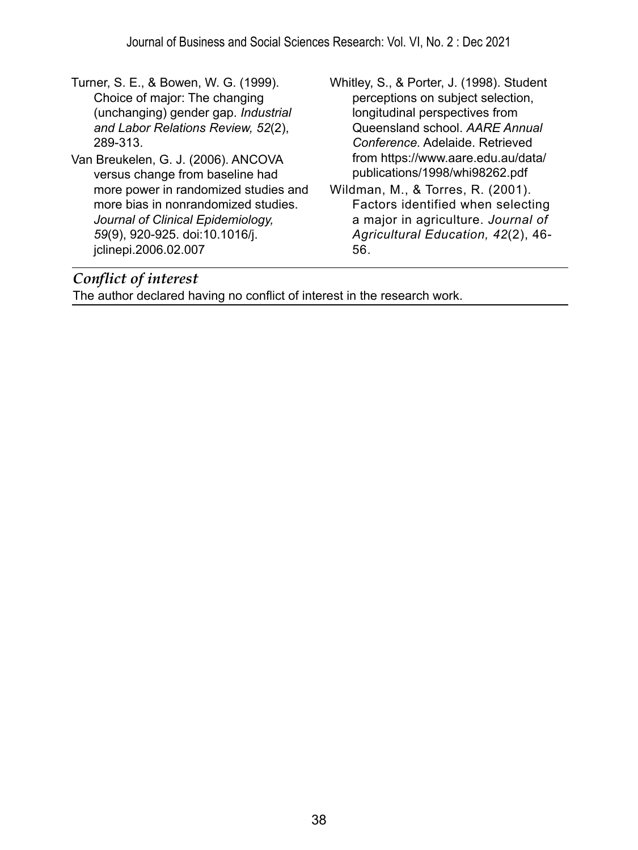- <span id="page-13-0"></span>Turner, S. E., & Bowen, W. G. (1999). Choice of major: The changing (unchanging) gender gap. *Industrial and Labor Relations Review, 52*(2), 289-313.
- <span id="page-13-3"></span>Van Breukelen, G. J. (2006). ANCOVA versus change from baseline had more power in randomized studies and more bias in nonrandomized studies. *Journal of Clinical Epidemiology, 59*(9), 920-925. doi:10.1016/j. jclinepi.2006.02.007
- <span id="page-13-2"></span>Whitley, S., & Porter, J. (1998). Student perceptions on subject selection, longitudinal perspectives from Queensland school. *AARE Annual Conference.* Adelaide. Retrieved from https://www.aare.edu.au/data/ publications/1998/whi98262.pdf
- <span id="page-13-1"></span>Wildman, M., & Torres, R. (2001). Factors identified when selecting a major in agriculture. *Journal of Agricultural Education, 42*(2), 46- 56.

#### *Conflict of interest*

The author declared having no conflict of interest in the research work.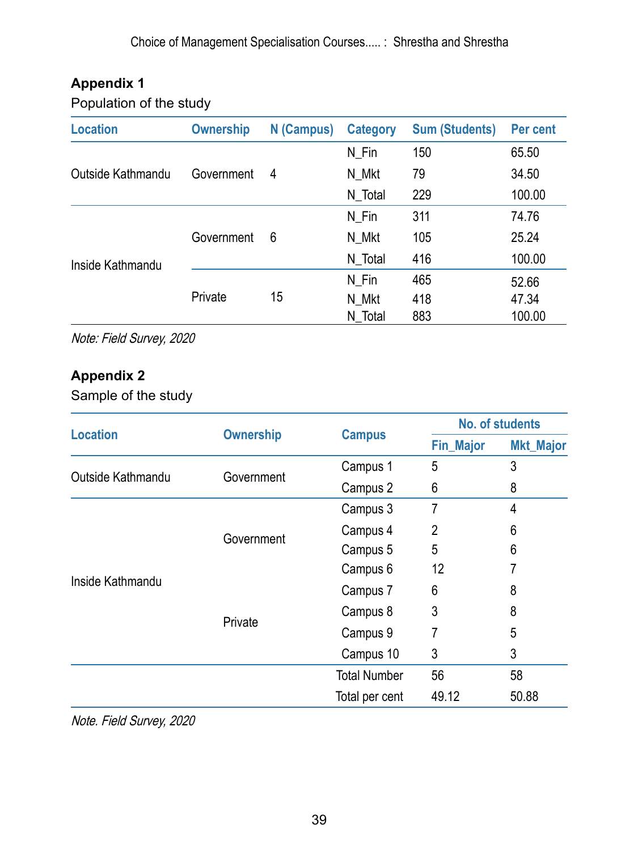# **Appendix 1**

Population of the study

| <b>Location</b>   | <b>Ownership</b> | N (Campus) | <b>Category</b> | <b>Sum (Students)</b> | Per cent |
|-------------------|------------------|------------|-----------------|-----------------------|----------|
|                   |                  |            | N Fin           | 150                   | 65.50    |
| Outside Kathmandu | Government       | 4          | N_Mkt           | 79                    | 34.50    |
|                   |                  |            | N_Total         | 229                   | 100.00   |
| Inside Kathmandu  | Government       | 6          | N Fin           | 311                   | 74.76    |
|                   |                  |            | N Mkt           | 105                   | 25.24    |
|                   |                  |            | N_Total         | 416                   | 100.00   |
|                   |                  |            | N Fin           | 465                   | 52.66    |
|                   | Private          | 15         | N Mkt           | 418                   | 47.34    |
|                   |                  |            | N_Total         | 883                   | 100.00   |

Note: Field Survey, 2020

## **Appendix 2**

Sample of the study

|                   |                  |                     | No. of students  |                       |
|-------------------|------------------|---------------------|------------------|-----------------------|
| <b>Location</b>   | <b>Ownership</b> | <b>Campus</b>       | <b>Fin_Major</b> | <b>Mkt_Major</b>      |
| Outside Kathmandu | Government       | Campus 1            | 5                | 3                     |
|                   |                  | Campus 2            | 6                | 8                     |
|                   |                  | Campus 3            | 7                | 4                     |
|                   | Government       | Campus 4            | $\overline{2}$   | 6                     |
|                   |                  | Campus 5            | 5                | 6                     |
| Inside Kathmandu  |                  | Campus 6            | 12               | 7                     |
|                   | Private          | Campus 7            | 6                | 8                     |
|                   |                  | Campus 8            | 3                | 8                     |
|                   |                  | Campus 9            | 7                | 5<br>3<br>58<br>50.88 |
|                   |                  | Campus 10           | 3                |                       |
|                   |                  | <b>Total Number</b> | 56               |                       |
|                   |                  | Total per cent      | 49.12            |                       |

Note. Field Survey, 2020